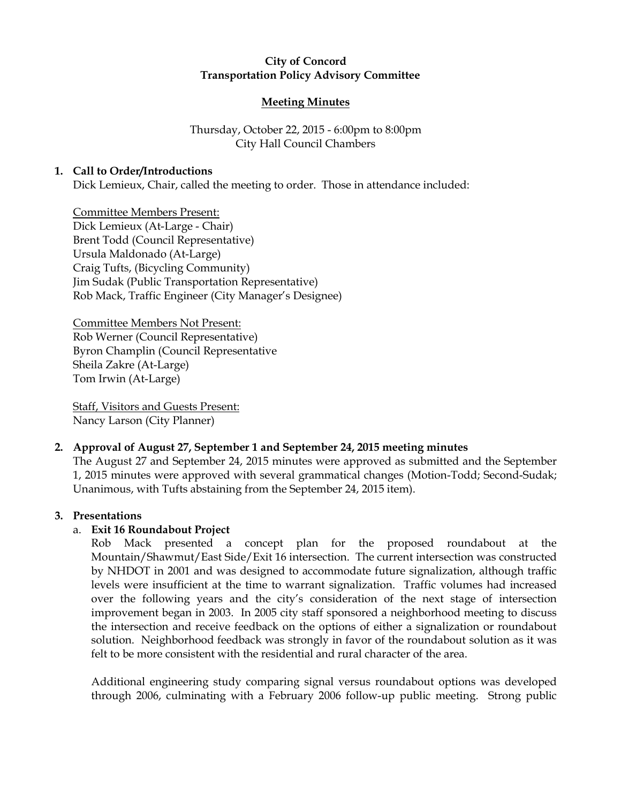## City of Concord Transportation Policy Advisory Committee

## Meeting Minutes

# Thursday, October 22, 2015 - 6:00pm to 8:00pm City Hall Council Chambers

# 1. Call to Order/Introductions

Dick Lemieux, Chair, called the meeting to order. Those in attendance included:

Committee Members Present: Dick Lemieux (At-Large - Chair) Brent Todd (Council Representative) Ursula Maldonado (At-Large) Craig Tufts, (Bicycling Community) Jim Sudak (Public Transportation Representative) Rob Mack, Traffic Engineer (City Manager's Designee)

Committee Members Not Present: Rob Werner (Council Representative) Byron Champlin (Council Representative Sheila Zakre (At-Large) Tom Irwin (At-Large)

Staff, Visitors and Guests Present: Nancy Larson (City Planner)

### 2. Approval of August 27, September 1 and September 24, 2015 meeting minutes

The August 27 and September 24, 2015 minutes were approved as submitted and the September 1, 2015 minutes were approved with several grammatical changes (Motion-Todd; Second-Sudak; Unanimous, with Tufts abstaining from the September 24, 2015 item).

### 3. Presentations

# a. Exit 16 Roundabout Project

Rob Mack presented a concept plan for the proposed roundabout at the Mountain/Shawmut/East Side/Exit 16 intersection. The current intersection was constructed by NHDOT in 2001 and was designed to accommodate future signalization, although traffic levels were insufficient at the time to warrant signalization. Traffic volumes had increased over the following years and the city's consideration of the next stage of intersection improvement began in 2003. In 2005 city staff sponsored a neighborhood meeting to discuss the intersection and receive feedback on the options of either a signalization or roundabout solution. Neighborhood feedback was strongly in favor of the roundabout solution as it was felt to be more consistent with the residential and rural character of the area.

Additional engineering study comparing signal versus roundabout options was developed through 2006, culminating with a February 2006 follow-up public meeting. Strong public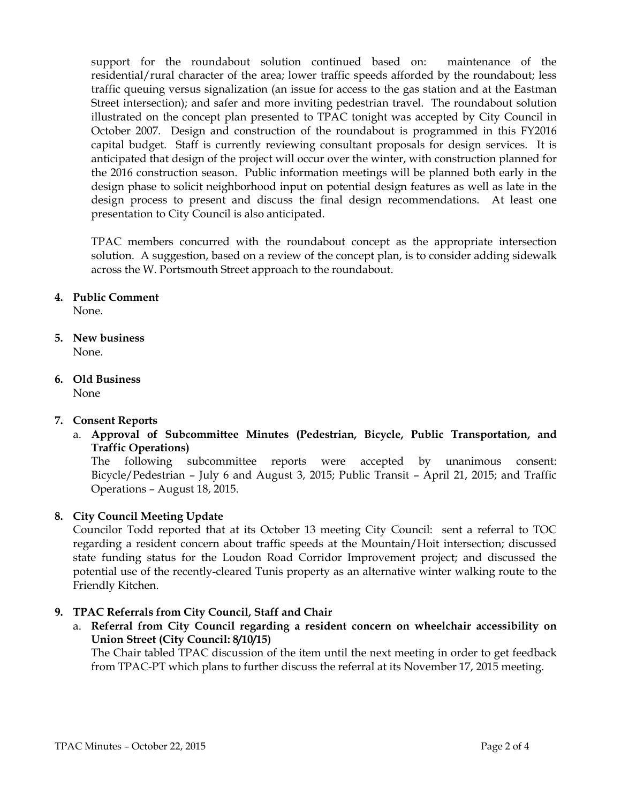support for the roundabout solution continued based on: maintenance of the residential/rural character of the area; lower traffic speeds afforded by the roundabout; less traffic queuing versus signalization (an issue for access to the gas station and at the Eastman Street intersection); and safer and more inviting pedestrian travel. The roundabout solution illustrated on the concept plan presented to TPAC tonight was accepted by City Council in October 2007. Design and construction of the roundabout is programmed in this FY2016 capital budget. Staff is currently reviewing consultant proposals for design services. It is anticipated that design of the project will occur over the winter, with construction planned for the 2016 construction season. Public information meetings will be planned both early in the design phase to solicit neighborhood input on potential design features as well as late in the design process to present and discuss the final design recommendations. At least one presentation to City Council is also anticipated.

TPAC members concurred with the roundabout concept as the appropriate intersection solution. A suggestion, based on a review of the concept plan, is to consider adding sidewalk across the W. Portsmouth Street approach to the roundabout.

### 4. Public Comment

None.

- 5. New business None.
- 6. Old Business

## None

### 7. Consent Reports

a. Approval of Subcommittee Minutes (Pedestrian, Bicycle, Public Transportation, and Traffic Operations)

The following subcommittee reports were accepted by unanimous consent: Bicycle/Pedestrian – July 6 and August 3, 2015; Public Transit – April 21, 2015; and Traffic Operations – August 18, 2015.

### 8. City Council Meeting Update

Councilor Todd reported that at its October 13 meeting City Council: sent a referral to TOC regarding a resident concern about traffic speeds at the Mountain/Hoit intersection; discussed state funding status for the Loudon Road Corridor Improvement project; and discussed the potential use of the recently-cleared Tunis property as an alternative winter walking route to the Friendly Kitchen.

### 9. TPAC Referrals from City Council, Staff and Chair

a. Referral from City Council regarding a resident concern on wheelchair accessibility on Union Street (City Council: 8/10/15)

The Chair tabled TPAC discussion of the item until the next meeting in order to get feedback from TPAC-PT which plans to further discuss the referral at its November 17, 2015 meeting.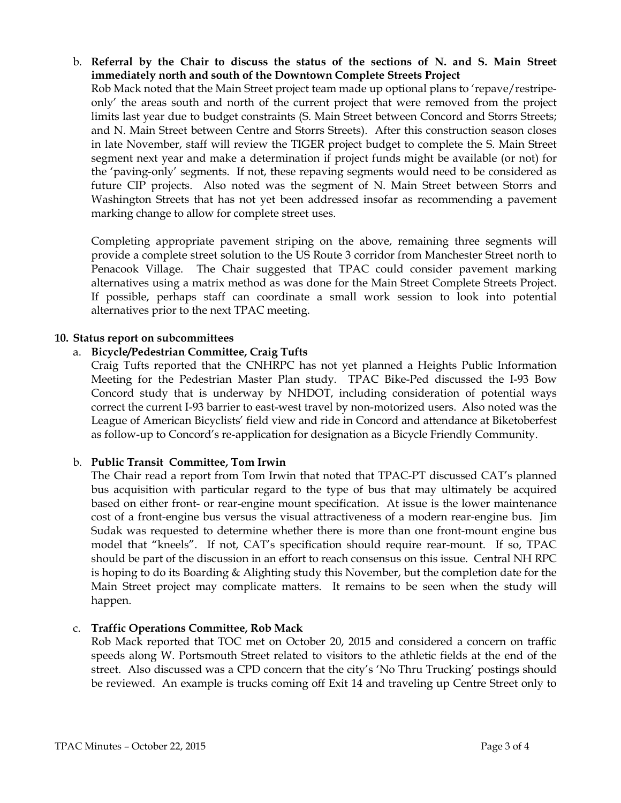b. Referral by the Chair to discuss the status of the sections of N. and S. Main Street immediately north and south of the Downtown Complete Streets Project

Rob Mack noted that the Main Street project team made up optional plans to 'repave/restripeonly' the areas south and north of the current project that were removed from the project limits last year due to budget constraints (S. Main Street between Concord and Storrs Streets; and N. Main Street between Centre and Storrs Streets). After this construction season closes in late November, staff will review the TIGER project budget to complete the S. Main Street segment next year and make a determination if project funds might be available (or not) for the 'paving-only' segments. If not, these repaving segments would need to be considered as future CIP projects. Also noted was the segment of N. Main Street between Storrs and Washington Streets that has not yet been addressed insofar as recommending a pavement marking change to allow for complete street uses.

Completing appropriate pavement striping on the above, remaining three segments will provide a complete street solution to the US Route 3 corridor from Manchester Street north to Penacook Village. The Chair suggested that TPAC could consider pavement marking alternatives using a matrix method as was done for the Main Street Complete Streets Project. If possible, perhaps staff can coordinate a small work session to look into potential alternatives prior to the next TPAC meeting.

#### 10. Status report on subcommittees

### a. Bicycle/Pedestrian Committee, Craig Tufts

Craig Tufts reported that the CNHRPC has not yet planned a Heights Public Information Meeting for the Pedestrian Master Plan study. TPAC Bike-Ped discussed the I-93 Bow Concord study that is underway by NHDOT, including consideration of potential ways correct the current I-93 barrier to east-west travel by non-motorized users. Also noted was the League of American Bicyclists' field view and ride in Concord and attendance at Biketoberfest as follow-up to Concord's re-application for designation as a Bicycle Friendly Community.

#### b. Public Transit Committee, Tom Irwin

The Chair read a report from Tom Irwin that noted that TPAC-PT discussed CAT's planned bus acquisition with particular regard to the type of bus that may ultimately be acquired based on either front- or rear-engine mount specification. At issue is the lower maintenance cost of a front-engine bus versus the visual attractiveness of a modern rear-engine bus. Jim Sudak was requested to determine whether there is more than one front-mount engine bus model that "kneels". If not, CAT's specification should require rear-mount. If so, TPAC should be part of the discussion in an effort to reach consensus on this issue. Central NH RPC is hoping to do its Boarding & Alighting study this November, but the completion date for the Main Street project may complicate matters. It remains to be seen when the study will happen.

#### c. Traffic Operations Committee, Rob Mack

Rob Mack reported that TOC met on October 20, 2015 and considered a concern on traffic speeds along W. Portsmouth Street related to visitors to the athletic fields at the end of the street. Also discussed was a CPD concern that the city's 'No Thru Trucking' postings should be reviewed. An example is trucks coming off Exit 14 and traveling up Centre Street only to